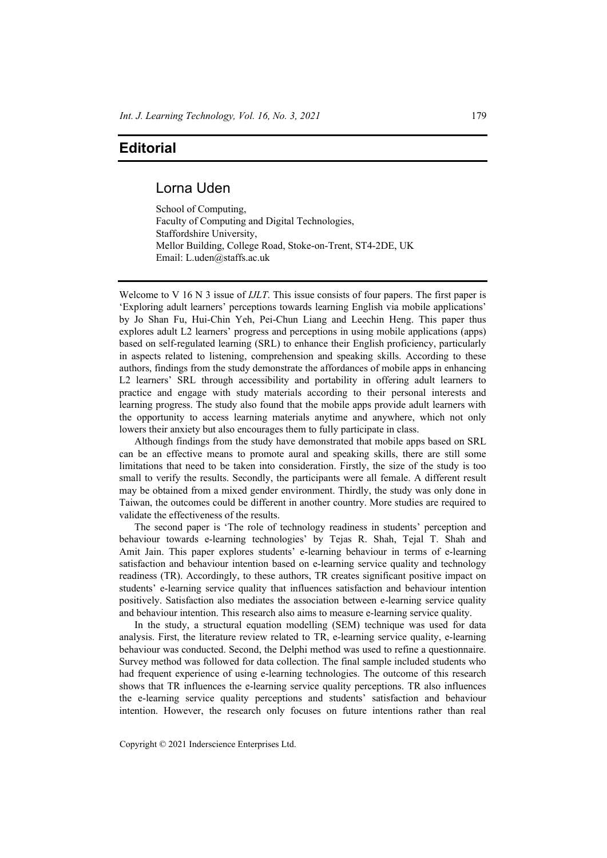## **Editorial**

## Lorna Uden

School of Computing, Faculty of Computing and Digital Technologies, Staffordshire University, Mellor Building, College Road, Stoke-on-Trent, ST4-2DE, UK Email: L.uden@staffs.ac.uk

Welcome to V 16 N 3 issue of *IJLT*. This issue consists of four papers. The first paper is 'Exploring adult learners' perceptions towards learning English via mobile applications' by Jo Shan Fu, Hui-Chin Yeh, Pei-Chun Liang and Leechin Heng. This paper thus explores adult L2 learners' progress and perceptions in using mobile applications (apps) based on self-regulated learning (SRL) to enhance their English proficiency, particularly in aspects related to listening, comprehension and speaking skills. According to these authors, findings from the study demonstrate the affordances of mobile apps in enhancing L2 learners' SRL through accessibility and portability in offering adult learners to practice and engage with study materials according to their personal interests and learning progress. The study also found that the mobile apps provide adult learners with the opportunity to access learning materials anytime and anywhere, which not only lowers their anxiety but also encourages them to fully participate in class.

Although findings from the study have demonstrated that mobile apps based on SRL can be an effective means to promote aural and speaking skills, there are still some limitations that need to be taken into consideration. Firstly, the size of the study is too small to verify the results. Secondly, the participants were all female. A different result may be obtained from a mixed gender environment. Thirdly, the study was only done in Taiwan, the outcomes could be different in another country. More studies are required to validate the effectiveness of the results.

The second paper is 'The role of technology readiness in students' perception and behaviour towards e-learning technologies' by Tejas R. Shah, Tejal T. Shah and Amit Jain. This paper explores students' e-learning behaviour in terms of e-learning satisfaction and behaviour intention based on e-learning service quality and technology readiness (TR). Accordingly, to these authors, TR creates significant positive impact on students' e-learning service quality that influences satisfaction and behaviour intention positively. Satisfaction also mediates the association between e-learning service quality and behaviour intention. This research also aims to measure e-learning service quality.

In the study, a structural equation modelling (SEM) technique was used for data analysis. First, the literature review related to TR, e-learning service quality, e-learning behaviour was conducted. Second, the Delphi method was used to refine a questionnaire. Survey method was followed for data collection. The final sample included students who had frequent experience of using e-learning technologies. The outcome of this research shows that TR influences the e-learning service quality perceptions. TR also influences the e-learning service quality perceptions and students' satisfaction and behaviour intention. However, the research only focuses on future intentions rather than real